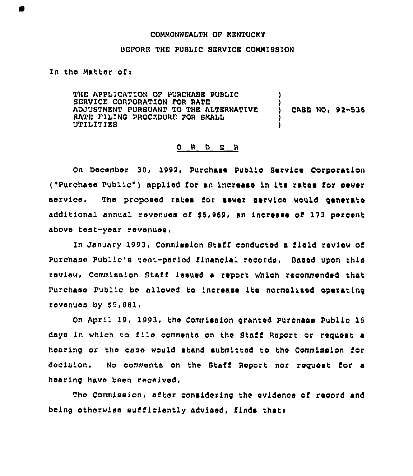### COMMONWEALTH OF KENTUCKY

### BEFORE THE PUBLIC SERVICE COMMISSION

# In the Matter of <sup>i</sup>

THE APPLICATION OF PURCHASE PUBLIC BERVICE CORPORATION FOR RATE ADJUSTMENT PURBUANT TO THE ALTERNATIVE RATE FILING PROCEDURE FOR BMALL UTILITIES CASE NO< 92-535

### 0 <sup>R</sup> <sup>D</sup> <sup>E</sup> <sup>R</sup>

On December 30, 1992, Purchase Publio Service Corporation ("purchase public" <sup>&</sup>gt; applied for an increase in its rates for sewer service, The proposed rates for sewer service would generate additional annual revenues of 85,969, an increase of 173 percent above test-year revenues.

In January 1993, Commission Staff conducted a field review of Purchase Public's test-period financial records. Based upon this review, Commission Staff issued a report which recommended that Purchase Public be allowed to increase its normalised operating revenues by \$5,881.

On April 19, 1993, the Commission granted Purchase Public 15 days in which to file comments on the Staff Report or request a hearing or the case would stand submitted to the Commission for decision. No comments on the Staff Report nor reguest for a hearing have been received.

The Commission, after considering the evidenoe of record and being otherwiee sufficiently advised, finds thati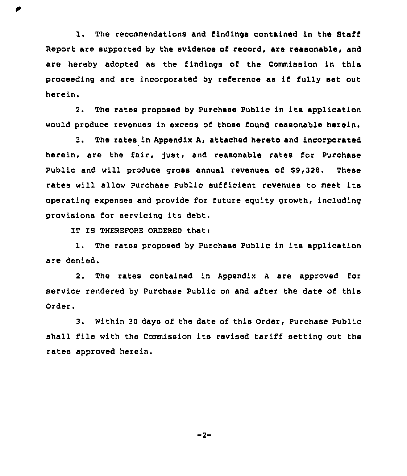1. The recommendations and findings contained in the Staff Report are supported by the evidence of record, are reasonable, and are hereby adopted as the findings of the Commission in this proceeding and are incorporated by reference as if fully set out herein.

2. The rates proposed by Purchase Public in its application would produce revenues in excess of those found reasonable herein.

3. The rates in Appendix A, attached hereto and incorporated herein, are the fair, just, and reasonable rates for Purchase Public and will produce gross annual revenues of \$9,328. These rates will allow Purchase Public sufficient revenues to meet its operating expenses and provide for future equity growth, including provisions for servicing its debt,

IT IS THEREFORE ORDERED that:

1. The rates proposed by Purchase Public in its application are denied.

2. The rates contained in Appendix <sup>A</sup> are approved for service rendered by Purchase Public on and after the date of this Order.

3. Within 30 days of the date of this Order, Purchase Public shall file with the Commission its revised tariff setting out the rates approved herein.

 $-2-$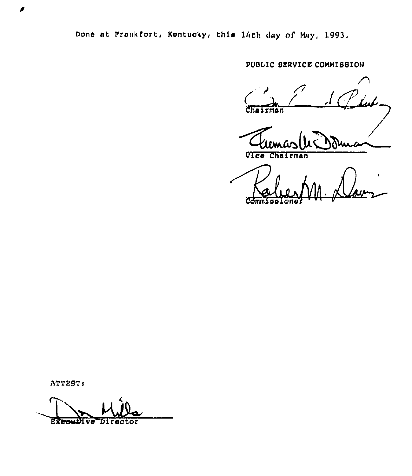Done at Frankfort, Kentucky, this 14th day of May, 1993.

PUBLIC SERVICE COMMISSION

Chairman

Vice Chairman

ATTEST:

Director **Executive**